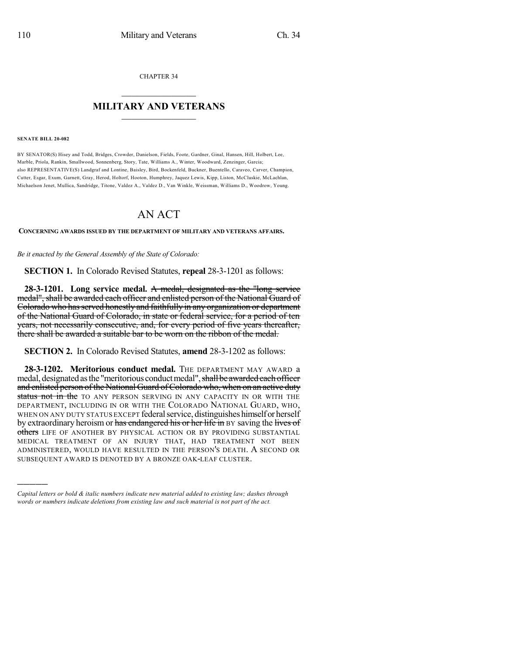CHAPTER 34

## $\overline{\phantom{a}}$  . The set of the set of the set of the set of the set of the set of the set of the set of the set of the set of the set of the set of the set of the set of the set of the set of the set of the set of the set o **MILITARY AND VETERANS**  $\frac{1}{2}$  ,  $\frac{1}{2}$  ,  $\frac{1}{2}$  ,  $\frac{1}{2}$  ,  $\frac{1}{2}$  ,  $\frac{1}{2}$  ,  $\frac{1}{2}$

## **SENATE BILL 20-082**

)))))

BY SENATOR(S) Hisey and Todd, Bridges, Crowder, Danielson, Fields, Foote, Gardner, Ginal, Hansen, Hill, Holbert, Lee, Marble, Priola, Rankin, Smallwood, Sonnenberg, Story, Tate, Williams A., Winter, Woodward, Zenzinger, Garcia; also REPRESENTATIVE(S) Landgraf and Lontine, Baisley, Bird, Bockenfeld, Buckner, Buentello, Caraveo, Carver, Champion, Cutter, Esgar, Exum, Garnett, Gray, Herod, Holtorf, Hooton, Humphrey, Jaquez Lewis, Kipp, Liston, McCluskie, McLachlan, Michaelson Jenet, Mullica, Sandridge, Titone, Valdez A., Valdez D., Van Winkle, Weissman, Williams D., Woodrow, Young.

## AN ACT

**CONCERNING AWARDS ISSUED BY THE DEPARTMENT OF MILITARY AND VETERANS AFFAIRS.**

*Be it enacted by the General Assembly of the State of Colorado:*

**SECTION 1.** In Colorado Revised Statutes, **repeal** 28-3-1201 as follows:

**28-3-1201. Long service medal.** A medal, designated as the "long service medal", shall be awarded each officer and enlisted person of the National Guard of Colorado who has served honestly and faithfully in any organization or department of the National Guard of Colorado, in state or federal service, for a period of ten years, not necessarily consecutive, and, for every period of five years thereafter, there shall be awarded a suitable bar to be worn on the ribbon of the medal.

**SECTION 2.** In Colorado Revised Statutes, **amend** 28-3-1202 as follows:

**28-3-1202. Meritorious conduct medal.** THE DEPARTMENT MAY AWARD a medal, designated as the "meritorious conduct medal", shall be awarded each officer and enlisted person of the National Guard of Colorado who, when on an active duty status not in the TO ANY PERSON SERVING IN ANY CAPACITY IN OR WITH THE DEPARTMENT, INCLUDING IN OR WITH THE COLORADO NATIONAL GUARD, WHO, WHEN ON ANY DUTY STATUS EXCEPT federal service, distinguishes himself or herself by extraordinary heroism or has endangered his or her life in BY saving the lives of others LIFE OF ANOTHER BY PHYSICAL ACTION OR BY PROVIDING SUBSTANTIAL MEDICAL TREATMENT OF AN INJURY THAT, HAD TREATMENT NOT BEEN ADMINISTERED, WOULD HAVE RESULTED IN THE PERSON'S DEATH. A SECOND OR SUBSEQUENT AWARD IS DENOTED BY A BRONZE OAK-LEAF CLUSTER.

*Capital letters or bold & italic numbers indicate new material added to existing law; dashes through words or numbers indicate deletions from existing law and such material is not part of the act.*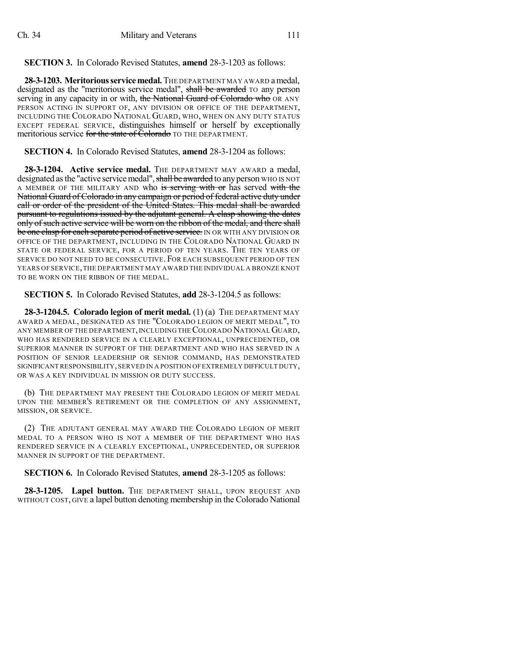**SECTION 3.** In Colorado Revised Statutes, **amend** 28-3-1203 as follows:

**28-3-1203. Meritoriousservicemedal.**THE DEPARTMENT MAY AWARD amedal, designated as the "meritorious service medal", shall be awarded TO any person serving in any capacity in or with, the National Guard of Colorado who OR ANY PERSON ACTING IN SUPPORT OF, ANY DIVISION OR OFFICE OF THE DEPARTMENT, INCLUDING THE COLORADO NATIONAL GUARD, WHO, WHEN ON ANY DUTY STATUS EXCEPT FEDERAL SERVICE, distinguishes himself or herself by exceptionally meritorious service for the state of Colorado TO THE DEPARTMENT.

**SECTION 4.** In Colorado Revised Statutes, **amend** 28-3-1204 as follows:

**28-3-1204. Active service medal.** THE DEPARTMENT MAY AWARD a medal, designated as the "active service medal", shall be awarded to any person WHO IS NOT A MEMBER OF THE MILITARY AND who is serving with or has served with the National Guard of Colorado in any campaign or period of federal active duty under call or order of the president of the United States. This medal shall be awarded pursuant to regulations issued by the adjutant general. A clasp showing the dates only of such active service will be worn on the ribbon of the medal, and there shall be one clasp for each separate period of active service. IN OR WITH ANY DIVISION OR OFFICE OF THE DEPARTMENT, INCLUDING IN THE COLORADO NATIONAL GUARD IN STATE OR FEDERAL SERVICE, FOR A PERIOD OF TEN YEARS. THE TEN YEARS OF SERVICE DO NOT NEED TO BE CONSECUTIVE. FOR EACH SUBSEQUENT PERIOD OF TEN YEARS OF SERVICE,THE DEPARTMENT MAY AWARD THE INDIVIDUAL A BRONZE KNOT TO BE WORN ON THE RIBBON OF THE MEDAL.

**SECTION 5.** In Colorado Revised Statutes, **add** 28-3-1204.5 as follows:

**28-3-1204.5. Colorado legion of merit medal.** (1) (a) THE DEPARTMENT MAY AWARD A MEDAL, DESIGNATED AS THE "COLORADO LEGION OF MERIT MEDAL", TO ANY MEMBER OF THE DEPARTMENT,INCLUDING THECOLORADO NATIONALGUARD, WHO HAS RENDERED SERVICE IN A CLEARLY EXCEPTIONAL, UNPRECEDENTED, OR SUPERIOR MANNER IN SUPPORT OF THE DEPARTMENT AND WHO HAS SERVED IN A POSITION OF SENIOR LEADERSHIP OR SENIOR COMMAND, HAS DEMONSTRATED SIGNIFICANT RESPONSIBILITY,SERVED IN A POSITION OFEXTREMELY DIFFICULT DUTY, OR WAS A KEY INDIVIDUAL IN MISSION OR DUTY SUCCESS.

(b) THE DEPARTMENT MAY PRESENT THE COLORADO LEGION OF MERIT MEDAL UPON THE MEMBER'S RETIREMENT OR THE COMPLETION OF ANY ASSIGNMENT, MISSION, OR SERVICE.

(2) THE ADJUTANT GENERAL MAY AWARD THE COLORADO LEGION OF MERIT MEDAL TO A PERSON WHO IS NOT A MEMBER OF THE DEPARTMENT WHO HAS RENDERED SERVICE IN A CLEARLY EXCEPTIONAL, UNPRECEDENTED, OR SUPERIOR MANNER IN SUPPORT OF THE DEPARTMENT.

**SECTION 6.** In Colorado Revised Statutes, **amend** 28-3-1205 as follows:

**28-3-1205. Lapel button.** THE DEPARTMENT SHALL, UPON REQUEST AND WITHOUT COST, GIVE a lapel button denoting membership in the Colorado National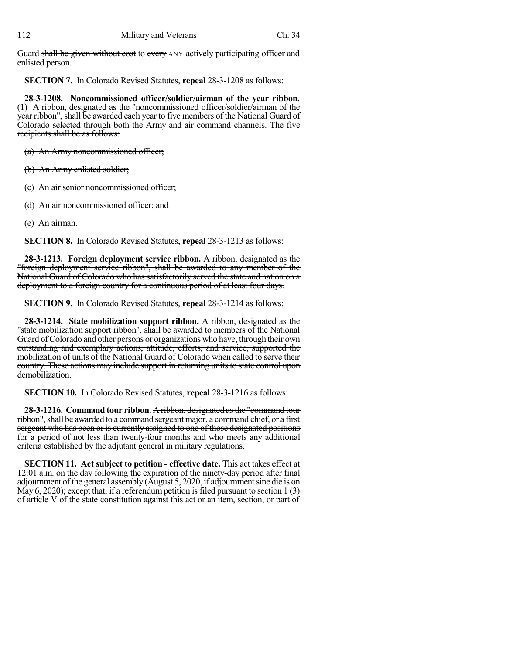Guard shall be given without cost to every ANY actively participating officer and enlisted person.

**SECTION 7.** In Colorado Revised Statutes, **repeal** 28-3-1208 as follows:

**28-3-1208. Noncommissioned officer/soldier/airman of the year ribbon.** (1) A ribbon, designated as the "noncommissioned officer/soldier/airman of the year ribbon", shall be awarded each year to five members of the National Guard of Colorado selected through both the Army and air command channels. The five recipients shall be as follows:

(a) An Army noncommissioned officer;

(b) An Army enlisted soldier;

(c) An air senior noncommissioned officer;

(d) An air noncommissioned officer; and

(e) An airman.

**SECTION 8.** In Colorado Revised Statutes, **repeal** 28-3-1213 as follows:

**28-3-1213. Foreign deployment service ribbon.** A ribbon, designated as the "foreign deployment service ribbon", shall be awarded to any member of the National Guard of Colorado who has satisfactorily served the state and nation on a deployment to a foreign country for a continuous period of at least four days.

**SECTION 9.** In Colorado Revised Statutes, **repeal** 28-3-1214 as follows:

**28-3-1214. State mobilization support ribbon.** A ribbon, designated as the "state mobilization support ribbon", shall be awarded to members of the National Guard of Colorado and other persons or organizations who have, through their own outstanding and exemplary actions, attitude, efforts, and service, supported the mobilization of units of the National Guard of Colorado when called to serve their country. These actions may include support in returning units to state control upon demobilization.

**SECTION 10.** In Colorado Revised Statutes, **repeal** 28-3-1216 as follows:

**28-3-1216. Command tour ribbon.** A ribbon, designated asthe "command tour ribbon", shall be awarded to a command sergeant major, a command chief, or a first sergeant who has been or is currently assigned to one of those designated positions for a period of not less than twenty-four months and who meets any additional criteria established by the adjutant general in military regulations.

**SECTION 11. Act subject to petition - effective date.** This act takes effect at 12:01 a.m. on the day following the expiration of the ninety-day period after final adjournment of the general assembly (August 5, 2020, if adjournmentsine die is on May 6, 2020); except that, if a referendum petition is filed pursuant to section  $1(3)$ of article V of the state constitution against this act or an item, section, or part of